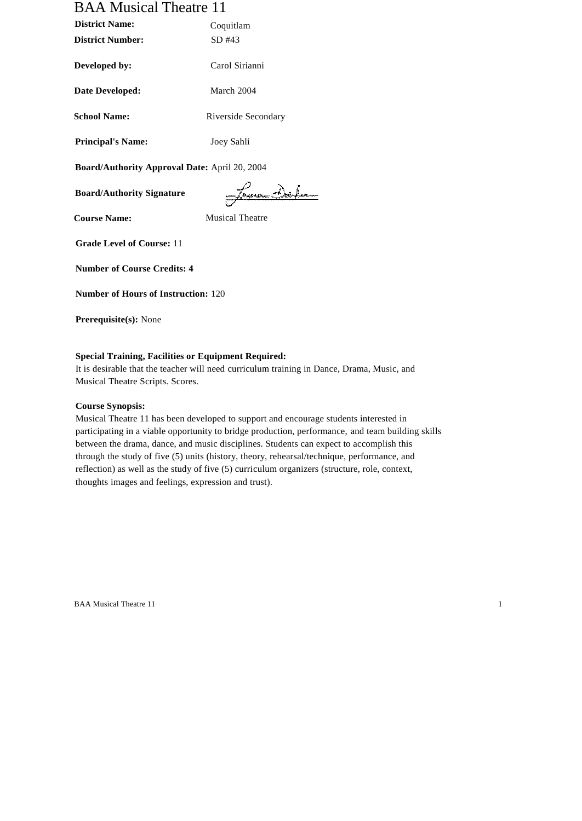# BAA Musical Theatre 11

| <b>District Name:</b>    | Coquitlam           |  |
|--------------------------|---------------------|--|
| <b>District Number:</b>  | SD#43               |  |
| Developed by:            | Carol Sirianni      |  |
| Date Developed:          | March 2004          |  |
| <b>School Name:</b>      | Riverside Secondary |  |
| <b>Principal's Name:</b> | Joey Sahli          |  |

**Board/Authority Approval Date:** April 20, 2004

**Board/Authority Signature**

James Delen

**Course Name:** Musical Theatre

**Grade Level of Course:** 11

**Number of Course Credits: 4**

**Number of Hours of Instruction:** 120

**Prerequisite(s):** None

## **Special Training, Facilities or Equipment Required:**

It is desirable that the teacher will need curriculum training in Dance, Drama, Music, and Musical Theatre Scripts. Scores.

## **Course Synopsis:**

Musical Theatre 11 has been developed to support and encourage students interested in participating in a viable opportunity to bridge production, performance, and team building skills between the drama, dance, and music disciplines. Students can expect to accomplish this through the study of five (5) units (history, theory, rehearsal/technique, performance, and reflection) as well as the study of five (5) curriculum organizers (structure, role, context, thoughts images and feelings, expression and trust).

BAA Musical Theatre 11 1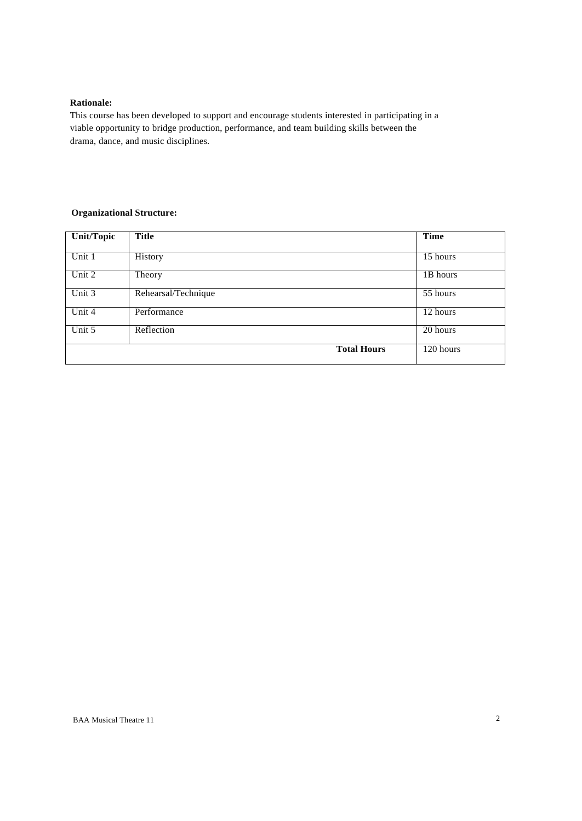## **Rationale:**

This course has been developed to support and encourage students interested in participating in a viable opportunity to bridge production, performance, and team building skills between the drama, dance, and music disciplines.

## **Organizational Structure:**

| <b>Unit/Topic</b> | <b>Title</b>        | <b>Time</b> |
|-------------------|---------------------|-------------|
|                   |                     |             |
| Unit 1            | <b>History</b>      | 15 hours    |
| Unit 2            | Theory              | 1B hours    |
| Unit 3            | Rehearsal/Technique | 55 hours    |
| Unit 4            | Performance         | 12 hours    |
| Unit 5            | Reflection          | 20 hours    |
|                   | <b>Total Hours</b>  | 120 hours   |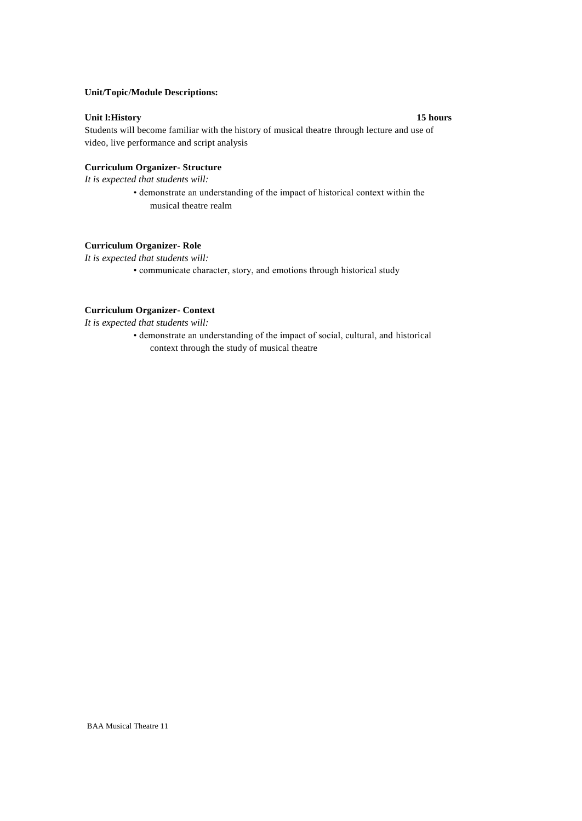## **Unit/Topic/Module Descriptions:**

## **Unit l:History 15 hours**

Students will become familiar with the history of musical theatre through lecture and use of video, live performance and script analysis

### **Curriculum Organizer- Structure**

*It is expected that students will:*

• demonstrate an understanding of the impact of historical context within the musical theatre realm

## **Curriculum Organizer- Role**

*It is expected that students will:*

• communicate character, story, and emotions through historical study

## **Curriculum Organizer- Context**

*It is expected that students will:*

• demonstrate an understanding of the impact of social, cultural, and historical context through the study of musical theatre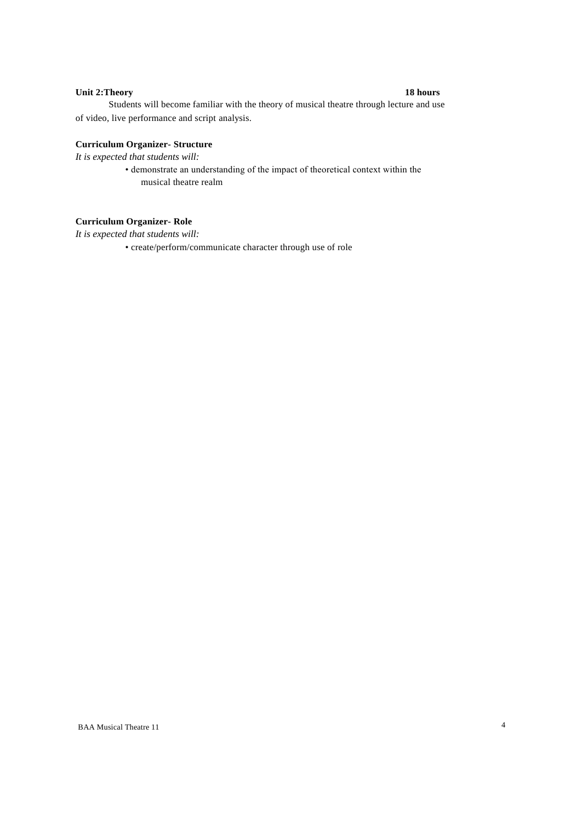## **Unit 2:Theory 18 hours**

Students will become familiar with the theory of musical theatre through lecture and use of video, live performance and script analysis.

## **Curriculum Organizer- Structure**

*It is expected that students will:*

• demonstrate an understanding of the impact of theoretical context within the musical theatre realm

## **Curriculum Organizer- Role**

*It is expected that students will:*

• create/perform/communicate character through use of role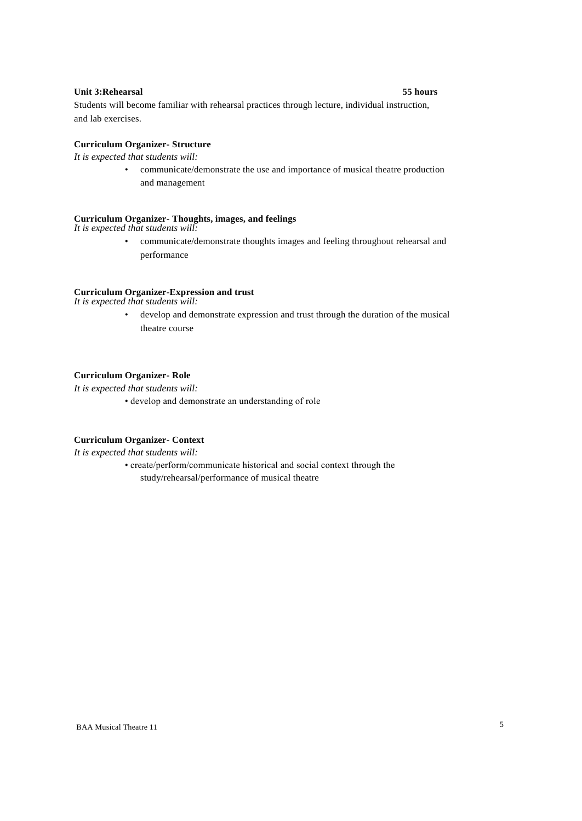## **Unit 3:Rehearsal 55 hours**

Students will become familiar with rehearsal practices through lecture, individual instruction, and lab exercises.

## **Curriculum Organizer- Structure**

*It is expected that students will:*

• communicate/demonstrate the use and importance of musical theatre production and management

### **Curriculum Organizer- Thoughts, images, and feelings**

*It is expected that students will:*

• communicate/demonstrate thoughts images and feeling throughout rehearsal and performance

#### **Curriculum Organizer-Expression and trust**

*It is expected that students will:*

• develop and demonstrate expression and trust through the duration of the musical theatre course

### **Curriculum Organizer- Role**

*It is expected that students will:*

• develop and demonstrate an understanding of role

#### **Curriculum Organizer- Context**

*It is expected that students will:*

• create/perform/communicate historical and social context through the study/rehearsal/performance of musical theatre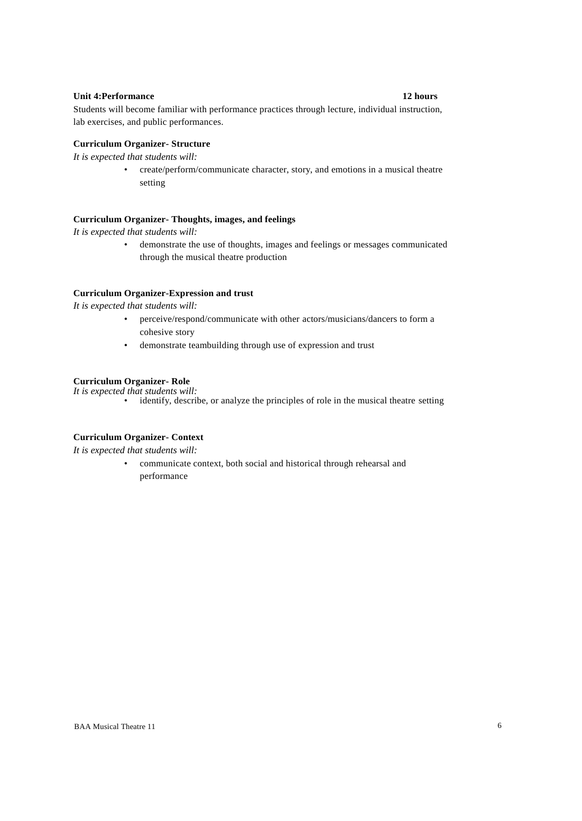### **Unit 4:Performance 12 hours**

Students will become familiar with performance practices through lecture, individual instruction, lab exercises, and public performances.

## **Curriculum Organizer- Structure**

*It is expected that students will:*

• create/perform/communicate character, story, and emotions in a musical theatre setting

### **Curriculum Organizer- Thoughts, images, and feelings**

*It is expected that students will:*

• demonstrate the use of thoughts, images and feelings or messages communicated through the musical theatre production

#### **Curriculum Organizer-Expression and trust**

*It is expected that students will:*

- perceive/respond/communicate with other actors/musicians/dancers to form a cohesive story
- demonstrate teambuilding through use of expression and trust

## **Curriculum Organizer- Role**

*It is expected that students will:*

• identify, describe, or analyze the principles of role in the musical theatre setting

#### **Curriculum Organizer- Context**

*It is expected that students will:*

• communicate context, both social and historical through rehearsal and performance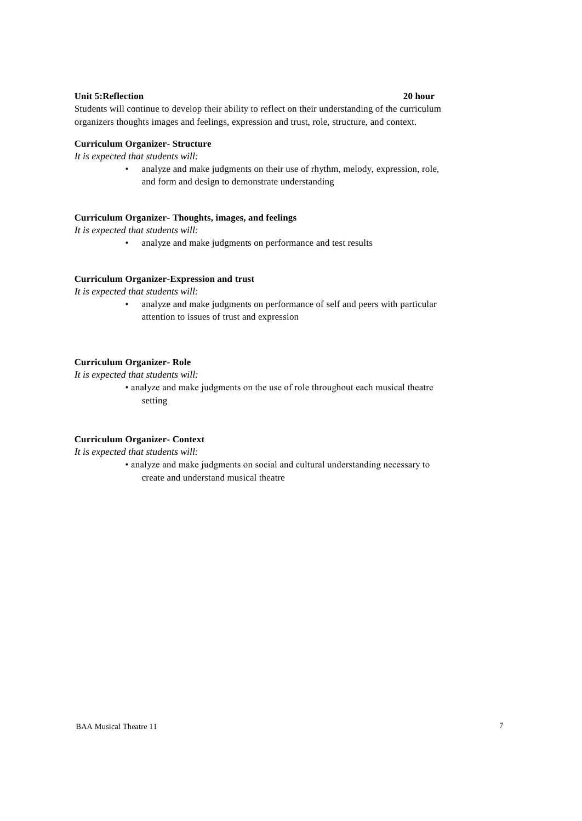### **Unit 5:Reflection 20 hour**

Students will continue to develop their ability to reflect on their understanding of the curriculum organizers thoughts images and feelings, expression and trust, role, structure, and context.

## **Curriculum Organizer- Structure**

*It is expected that students will:*

• analyze and make judgments on their use of rhythm, melody, expression, role, and form and design to demonstrate understanding

## **Curriculum Organizer- Thoughts, images, and feelings**

*It is expected that students will:*

• analyze and make judgments on performance and test results

#### **Curriculum Organizer-Expression and trust**

*It is expected that students will:*

• analyze and make judgments on performance of self and peers with particular attention to issues of trust and expression

## **Curriculum Organizer- Role**

*It is expected that students will:*

• analyze and make judgments on the use of role throughout each musical theatre setting

### **Curriculum Organizer- Context**

*It is expected that students will:*

• analyze and make judgments on social and cultural understanding necessary to create and understand musical theatre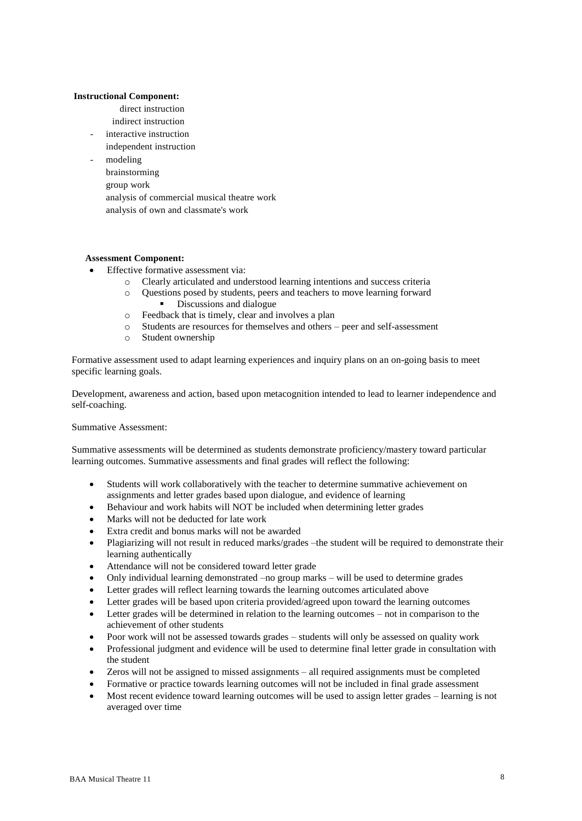## **Instructional Component:**

- direct instruction
- indirect instruction
- interactive instruction
- independent instruction
- modeling brainstorming
	- group work
	- analysis of commercial musical theatre work
	- analysis of own and classmate's work

## **Assessment Component:**

- Effective formative assessment via:
	- o Clearly articulated and understood learning intentions and success criteria
	- o Questions posed by students, peers and teachers to move learning forward Discussions and dialogue
	- o Feedback that is timely, clear and involves a plan
	- o Students are resources for themselves and others peer and self-assessment
	- o Student ownership

Formative assessment used to adapt learning experiences and inquiry plans on an on-going basis to meet specific learning goals.

Development, awareness and action, based upon metacognition intended to lead to learner independence and self-coaching.

## Summative Assessment:

Summative assessments will be determined as students demonstrate proficiency/mastery toward particular learning outcomes. Summative assessments and final grades will reflect the following:

- Students will work collaboratively with the teacher to determine summative achievement on assignments and letter grades based upon dialogue, and evidence of learning
- Behaviour and work habits will NOT be included when determining letter grades
- Marks will not be deducted for late work
- Extra credit and bonus marks will not be awarded
- Plagiarizing will not result in reduced marks/grades –the student will be required to demonstrate their learning authentically
- Attendance will not be considered toward letter grade
- Only individual learning demonstrated –no group marks will be used to determine grades
- Letter grades will reflect learning towards the learning outcomes articulated above
- Letter grades will be based upon criteria provided/agreed upon toward the learning outcomes
- Letter grades will be determined in relation to the learning outcomes not in comparison to the achievement of other students
- Poor work will not be assessed towards grades students will only be assessed on quality work
- Professional judgment and evidence will be used to determine final letter grade in consultation with the student
- Zeros will not be assigned to missed assignments all required assignments must be completed
- Formative or practice towards learning outcomes will not be included in final grade assessment
- Most recent evidence toward learning outcomes will be used to assign letter grades learning is not averaged over time